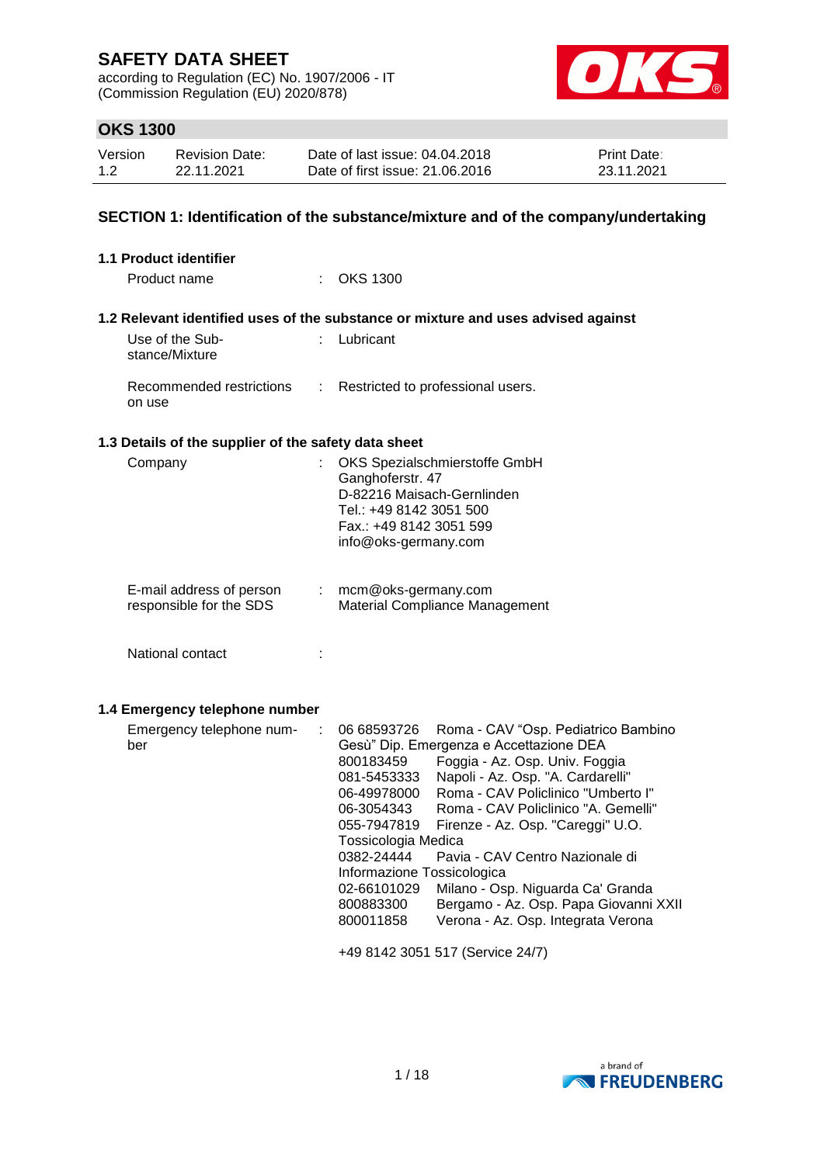according to Regulation (EC) No. 1907/2006 - IT (Commission Regulation (EU) 2020/878)



# **OKS 1300**

| Version | Revision Date: | Date of last issue: 04.04.2018  | <b>Print Date:</b> |
|---------|----------------|---------------------------------|--------------------|
| 1.2     | 22.11.2021     | Date of first issue: 21.06.2016 | 23.11.2021         |

# **SECTION 1: Identification of the substance/mixture and of the company/undertaking**

| <b>1.1 Product identifier</b>                        |    |                                                                                                                                                                                                 |                                                                                                                                                                                                                                                                                                                                                                                                                                |
|------------------------------------------------------|----|-------------------------------------------------------------------------------------------------------------------------------------------------------------------------------------------------|--------------------------------------------------------------------------------------------------------------------------------------------------------------------------------------------------------------------------------------------------------------------------------------------------------------------------------------------------------------------------------------------------------------------------------|
| Product name                                         |    | $:$ OKS 1300                                                                                                                                                                                    |                                                                                                                                                                                                                                                                                                                                                                                                                                |
|                                                      |    |                                                                                                                                                                                                 | 1.2 Relevant identified uses of the substance or mixture and uses advised against                                                                                                                                                                                                                                                                                                                                              |
| Use of the Sub-<br>stance/Mixture                    | ÷. | Lubricant                                                                                                                                                                                       |                                                                                                                                                                                                                                                                                                                                                                                                                                |
| Recommended restrictions<br>on use                   | ÷  |                                                                                                                                                                                                 | Restricted to professional users.                                                                                                                                                                                                                                                                                                                                                                                              |
| 1.3 Details of the supplier of the safety data sheet |    |                                                                                                                                                                                                 |                                                                                                                                                                                                                                                                                                                                                                                                                                |
| Company                                              | ÷  | Ganghoferstr. 47<br>D-82216 Maisach-Gernlinden<br>Tel.: +49 8142 3051 500<br>Fax.: +49 8142 3051 599<br>info@oks-germany.com                                                                    | OKS Spezialschmierstoffe GmbH                                                                                                                                                                                                                                                                                                                                                                                                  |
| E-mail address of person<br>responsible for the SDS  |    | mcm@oks-germany.com                                                                                                                                                                             | Material Compliance Management                                                                                                                                                                                                                                                                                                                                                                                                 |
| National contact                                     |    |                                                                                                                                                                                                 |                                                                                                                                                                                                                                                                                                                                                                                                                                |
| 1.4 Emergency telephone number                       |    |                                                                                                                                                                                                 |                                                                                                                                                                                                                                                                                                                                                                                                                                |
| Emergency telephone num-<br>ber                      | ÷  | 06 68593726<br>800183459<br>081-5453333<br>06-49978000<br>06-3054343<br>055-7947819<br>Tossicologia Medica<br>0382-24444<br>Informazione Tossicologica<br>02-66101029<br>800883300<br>800011858 | Roma - CAV "Osp. Pediatrico Bambino<br>Gesù" Dip. Emergenza e Accettazione DEA<br>Foggia - Az. Osp. Univ. Foggia<br>Napoli - Az. Osp. "A. Cardarelli"<br>Roma - CAV Policlinico "Umberto I"<br>Roma - CAV Policlinico "A. Gemelli"<br>Firenze - Az. Osp. "Careggi" U.O.<br>Pavia - CAV Centro Nazionale di<br>Milano - Osp. Niguarda Ca' Granda<br>Bergamo - Az. Osp. Papa Giovanni XXII<br>Verona - Az. Osp. Integrata Verona |
|                                                      |    |                                                                                                                                                                                                 | +49 8142 3051 517 (Service 24/7)                                                                                                                                                                                                                                                                                                                                                                                               |

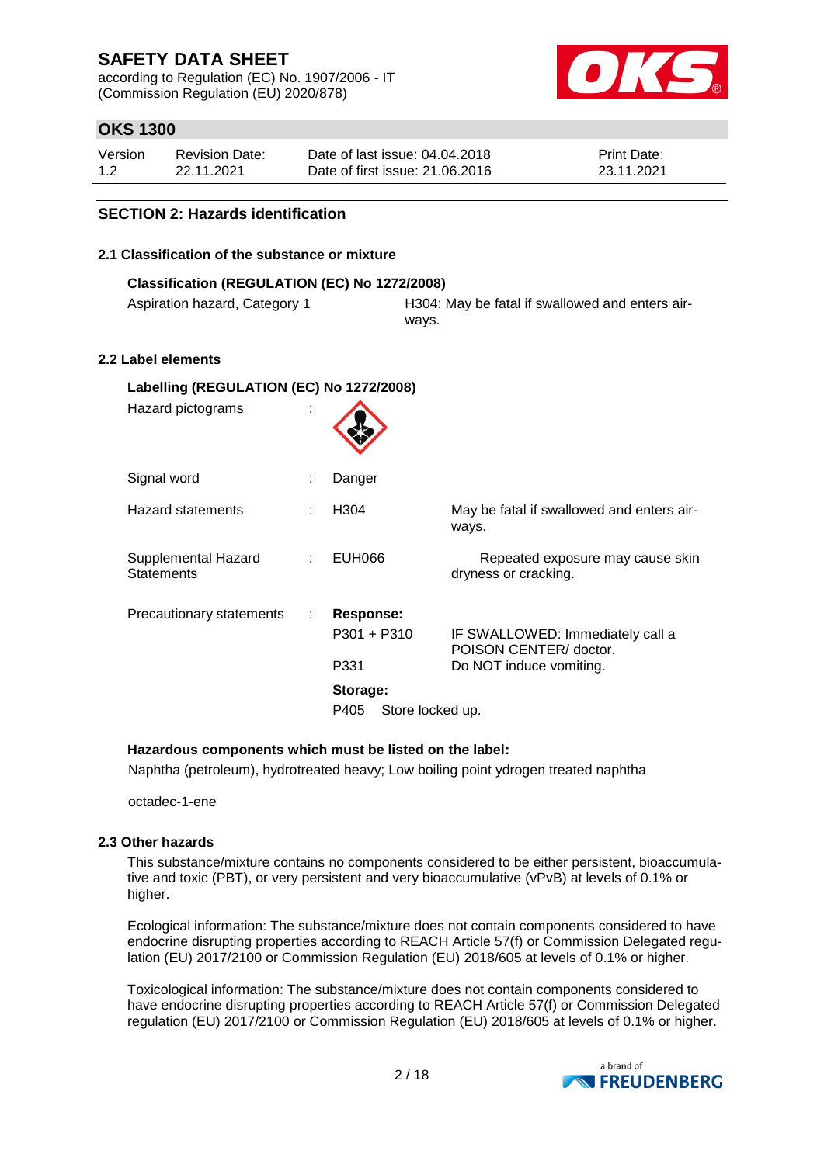according to Regulation (EC) No. 1907/2006 - IT (Commission Regulation (EU) 2020/878)



# **OKS 1300**

| Version | Revision Date: | Date of last issue: 04.04.2018  | <b>Print Date:</b> |
|---------|----------------|---------------------------------|--------------------|
| 1.2     | 22.11.2021     | Date of first issue: 21,06,2016 | 23.11.2021         |

### **SECTION 2: Hazards identification**

### **2.1 Classification of the substance or mixture**

| Classification (REGULATION (EC) No 1272/2008) |                                                          |  |  |
|-----------------------------------------------|----------------------------------------------------------|--|--|
| Aspiration hazard, Category 1                 | H304: May be fatal if swallowed and enters air-<br>ways. |  |  |
| ahol olomonte                                 |                                                          |  |  |

### **2.2 Label elements**

| Labelling (REGULATION (EC) No 1272/2008) |    |                          |                                                            |  |
|------------------------------------------|----|--------------------------|------------------------------------------------------------|--|
| Hazard pictograms                        | ×. |                          |                                                            |  |
| Signal word                              |    | Danger                   |                                                            |  |
| <b>Hazard statements</b>                 |    | H <sub>304</sub>         | May be fatal if swallowed and enters air-<br>ways.         |  |
| Supplemental Hazard<br><b>Statements</b> |    | <b>EUH066</b>            | Repeated exposure may cause skin<br>dryness or cracking.   |  |
| Precautionary statements                 | ÷  | Response:                |                                                            |  |
|                                          |    | $P301 + P310$            | IF SWALLOWED: Immediately call a<br>POISON CENTER/ doctor. |  |
|                                          |    | P331                     | Do NOT induce vomiting.                                    |  |
|                                          |    | Storage:                 |                                                            |  |
|                                          |    | Store locked up.<br>P405 |                                                            |  |

### **Hazardous components which must be listed on the label:**

Naphtha (petroleum), hydrotreated heavy; Low boiling point ydrogen treated naphtha

octadec-1-ene

### **2.3 Other hazards**

This substance/mixture contains no components considered to be either persistent, bioaccumulative and toxic (PBT), or very persistent and very bioaccumulative (vPvB) at levels of 0.1% or higher.

Ecological information: The substance/mixture does not contain components considered to have endocrine disrupting properties according to REACH Article 57(f) or Commission Delegated regulation (EU) 2017/2100 or Commission Regulation (EU) 2018/605 at levels of 0.1% or higher.

Toxicological information: The substance/mixture does not contain components considered to have endocrine disrupting properties according to REACH Article 57(f) or Commission Delegated regulation (EU) 2017/2100 or Commission Regulation (EU) 2018/605 at levels of 0.1% or higher.

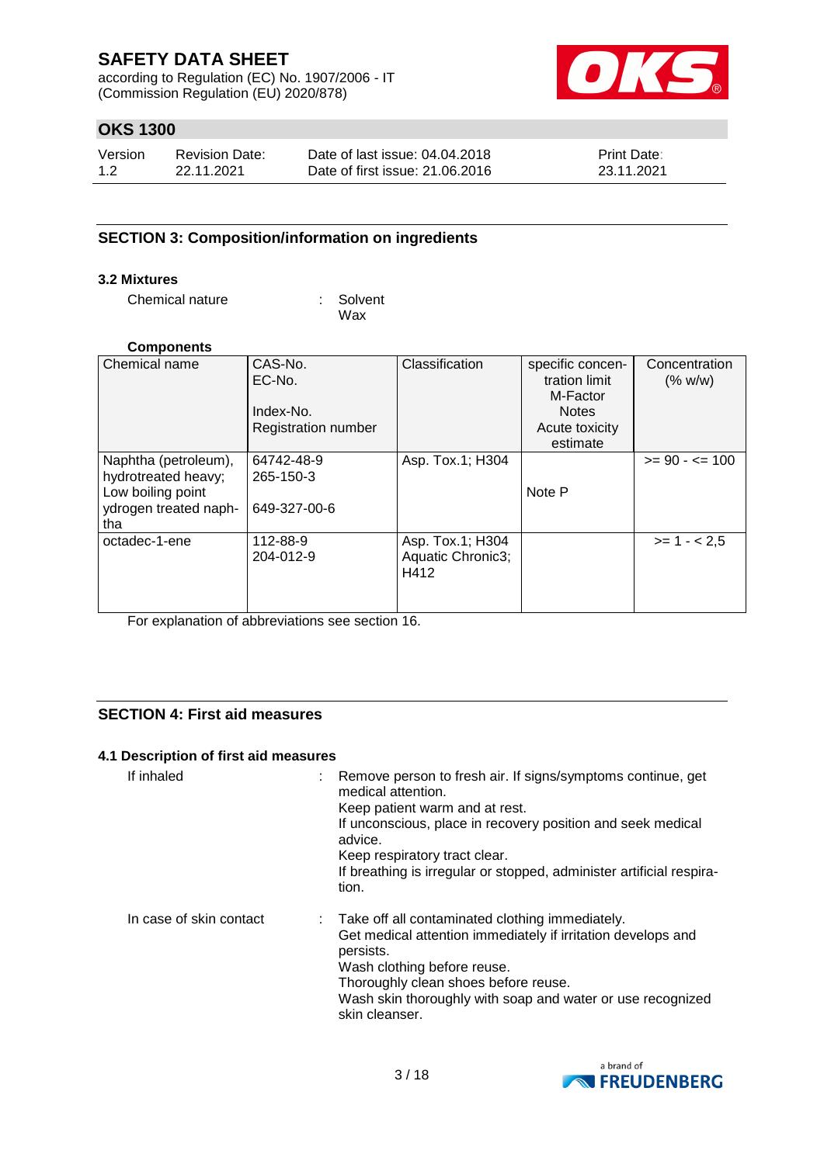according to Regulation (EC) No. 1907/2006 - IT (Commission Regulation (EU) 2020/878)



# **OKS 1300**

| Version | <b>Revision Date:</b> | Date of last issue: 04.04.2018  | <b>Print Date:</b> |
|---------|-----------------------|---------------------------------|--------------------|
| 1.2     | 22.11.2021            | Date of first issue: 21,06,2016 | 23.11.2021         |

### **SECTION 3: Composition/information on ingredients**

### **3.2 Mixtures**

Chemical nature : Solvent

Wax

#### **Components**

| Chemical name                                                                                    | CAS-No.<br>EC-No.<br>Index-No.          | Classification                                | specific concen-<br>tration limit<br>M-Factor<br><b>Notes</b> | Concentration<br>(% w/w) |
|--------------------------------------------------------------------------------------------------|-----------------------------------------|-----------------------------------------------|---------------------------------------------------------------|--------------------------|
|                                                                                                  | <b>Registration number</b>              |                                               | Acute toxicity<br>estimate                                    |                          |
| Naphtha (petroleum),<br>hydrotreated heavy;<br>Low boiling point<br>ydrogen treated naph-<br>tha | 64742-48-9<br>265-150-3<br>649-327-00-6 | Asp. Tox.1; H304                              | Note P                                                        | $>= 90 - 5 = 100$        |
| octadec-1-ene                                                                                    | 112-88-9<br>204-012-9                   | Asp. Tox.1; H304<br>Aquatic Chronic3;<br>H412 |                                                               | $>= 1 - 2.5$             |

For explanation of abbreviations see section 16.

### **SECTION 4: First aid measures**

### **4.1 Description of first aid measures**

| If inhaled              | : Remove person to fresh air. If signs/symptoms continue, get<br>medical attention.<br>Keep patient warm and at rest.<br>If unconscious, place in recovery position and seek medical<br>advice.<br>Keep respiratory tract clear.<br>If breathing is irregular or stopped, administer artificial respira-<br>tion. |
|-------------------------|-------------------------------------------------------------------------------------------------------------------------------------------------------------------------------------------------------------------------------------------------------------------------------------------------------------------|
| In case of skin contact | : Take off all contaminated clothing immediately.<br>Get medical attention immediately if irritation develops and<br>persists.<br>Wash clothing before reuse.<br>Thoroughly clean shoes before reuse.<br>Wash skin thoroughly with soap and water or use recognized<br>skin cleanser.                             |

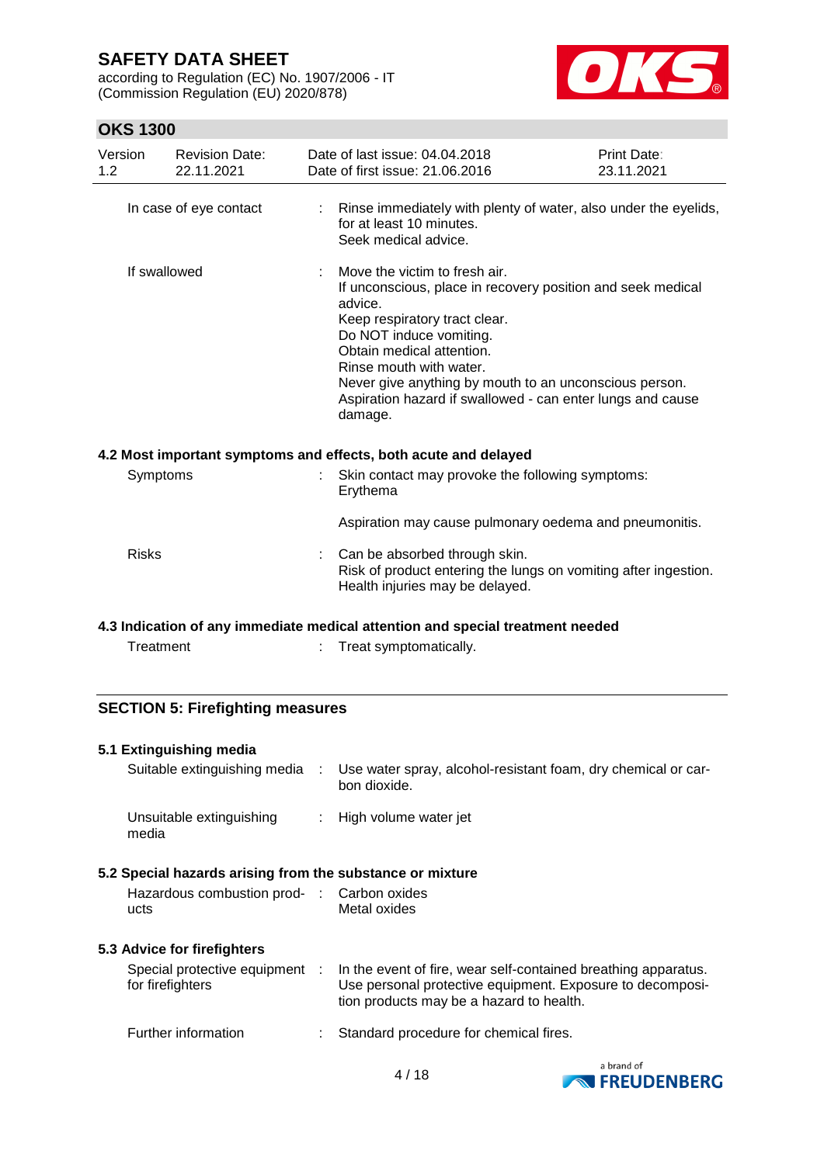according to Regulation (EC) No. 1907/2006 - IT (Commission Regulation (EU) 2020/878)



# **OKS 1300**

| Version<br>1.2 | <b>Revision Date:</b><br>22.11.2021 | Date of last issue: 04.04.2018<br>Date of first issue: 21,06,2016                                                                                                                                                                                                                                                                                              | Print Date:<br>23.11.2021 |
|----------------|-------------------------------------|----------------------------------------------------------------------------------------------------------------------------------------------------------------------------------------------------------------------------------------------------------------------------------------------------------------------------------------------------------------|---------------------------|
|                | In case of eye contact              | : Rinse immediately with plenty of water, also under the eyelids,<br>for at least 10 minutes.<br>Seek medical advice.                                                                                                                                                                                                                                          |                           |
|                | If swallowed                        | Move the victim to fresh air.<br>If unconscious, place in recovery position and seek medical<br>advice.<br>Keep respiratory tract clear.<br>Do NOT induce vomiting.<br>Obtain medical attention.<br>Rinse mouth with water.<br>Never give anything by mouth to an unconscious person.<br>Aspiration hazard if swallowed - can enter lungs and cause<br>damage. |                           |
|                |                                     | 4.2 Most important symptoms and effects, both acute and delayed                                                                                                                                                                                                                                                                                                |                           |
|                | Symptoms                            | Skin contact may provoke the following symptoms:<br>Erythema                                                                                                                                                                                                                                                                                                   |                           |
|                |                                     | Aspiration may cause pulmonary oedema and pneumonitis.                                                                                                                                                                                                                                                                                                         |                           |
| <b>Risks</b>   |                                     | : Can be absorbed through skin.<br>Risk of product entering the lungs on vomiting after ingestion.<br>Health injuries may be delayed.                                                                                                                                                                                                                          |                           |
|                |                                     | 4.3 Indication of any immediate medical attention and special treatment needed                                                                                                                                                                                                                                                                                 |                           |
|                | Treatment                           | Treat symptomatically.                                                                                                                                                                                                                                                                                                                                         |                           |

### **SECTION 5: Firefighting measures**

### **5.1 Extinguishing media**

| Suitable extinguishing media      | Use water spray, alcohol-resistant foam, dry chemical or car-<br>bon dioxide. |
|-----------------------------------|-------------------------------------------------------------------------------|
| Unsuitable extinguishing<br>media | : High volume water jet                                                       |

### **5.2 Special hazards arising from the substance or mixture**

| Hazardous combustion prod- | : Carbon oxides |
|----------------------------|-----------------|
| ucts                       | Metal oxides    |

### **5.3 Advice for firefighters**

| Special protective equipment<br>for firefighters | In the event of fire, wear self-contained breathing apparatus.<br>Use personal protective equipment. Exposure to decomposi-<br>tion products may be a hazard to health. |
|--------------------------------------------------|-------------------------------------------------------------------------------------------------------------------------------------------------------------------------|
| Further information                              | Standard procedure for chemical fires.                                                                                                                                  |

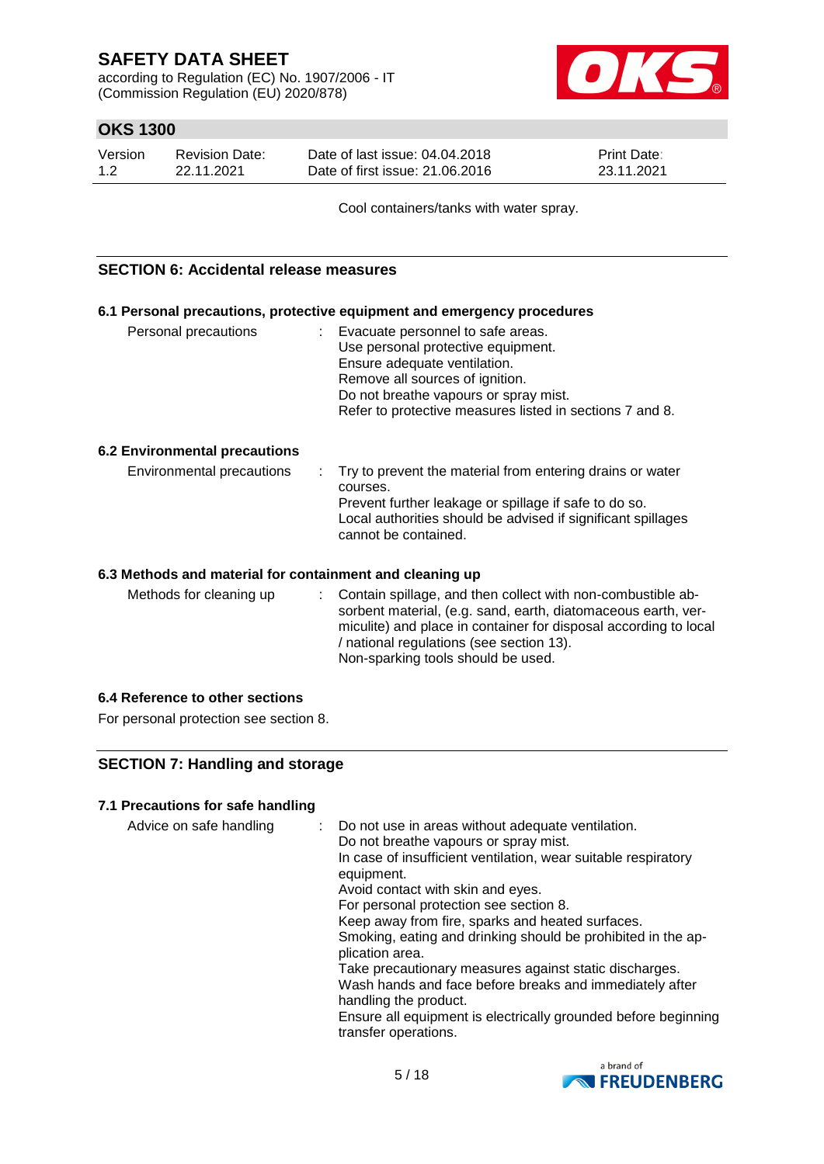according to Regulation (EC) No. 1907/2006 - IT (Commission Regulation (EU) 2020/878)



# **OKS 1300**

| Version | Revision Date: | Date of last issue: 04.04.2018  | <b>Print Date:</b> |
|---------|----------------|---------------------------------|--------------------|
| 1.2     | 22.11.2021     | Date of first issue: 21.06.2016 | 23.11.2021         |

Cool containers/tanks with water spray.

### **SECTION 6: Accidental release measures**

|                                                          | 6.1 Personal precautions, protective equipment and emergency procedures                                                                                                                                                                           |
|----------------------------------------------------------|---------------------------------------------------------------------------------------------------------------------------------------------------------------------------------------------------------------------------------------------------|
| Personal precautions                                     | : Evacuate personnel to safe areas.<br>Use personal protective equipment.<br>Ensure adequate ventilation.<br>Remove all sources of ignition.<br>Do not breathe vapours or spray mist.<br>Refer to protective measures listed in sections 7 and 8. |
| <b>6.2 Environmental precautions</b>                     |                                                                                                                                                                                                                                                   |
| Environmental precautions                                | Try to prevent the material from entering drains or water<br>courses.<br>Prevent further leakage or spillage if safe to do so.<br>Local authorities should be advised if significant spillages<br>cannot be contained.                            |
| 6.3 Methods and material for containment and cleaning up |                                                                                                                                                                                                                                                   |

Methods for cleaning up : Contain spillage, and then collect with non-combustible absorbent material, (e.g. sand, earth, diatomaceous earth, vermiculite) and place in container for disposal according to local / national regulations (see section 13). Non-sparking tools should be used.

### **6.4 Reference to other sections**

For personal protection see section 8.

### **SECTION 7: Handling and storage**

### **7.1 Precautions for safe handling**

| Advice on safe handling |  | : Do not use in areas without adequate ventilation.<br>Do not breathe vapours or spray mist.<br>In case of insufficient ventilation, wear suitable respiratory<br>equipment.<br>Avoid contact with skin and eyes.<br>For personal protection see section 8.<br>Keep away from fire, sparks and heated surfaces.<br>Smoking, eating and drinking should be prohibited in the ap-<br>plication area.<br>Take precautionary measures against static discharges.<br>Wash hands and face before breaks and immediately after<br>handling the product.<br>Ensure all equipment is electrically grounded before beginning<br>transfer operations. |
|-------------------------|--|--------------------------------------------------------------------------------------------------------------------------------------------------------------------------------------------------------------------------------------------------------------------------------------------------------------------------------------------------------------------------------------------------------------------------------------------------------------------------------------------------------------------------------------------------------------------------------------------------------------------------------------------|
|-------------------------|--|--------------------------------------------------------------------------------------------------------------------------------------------------------------------------------------------------------------------------------------------------------------------------------------------------------------------------------------------------------------------------------------------------------------------------------------------------------------------------------------------------------------------------------------------------------------------------------------------------------------------------------------------|

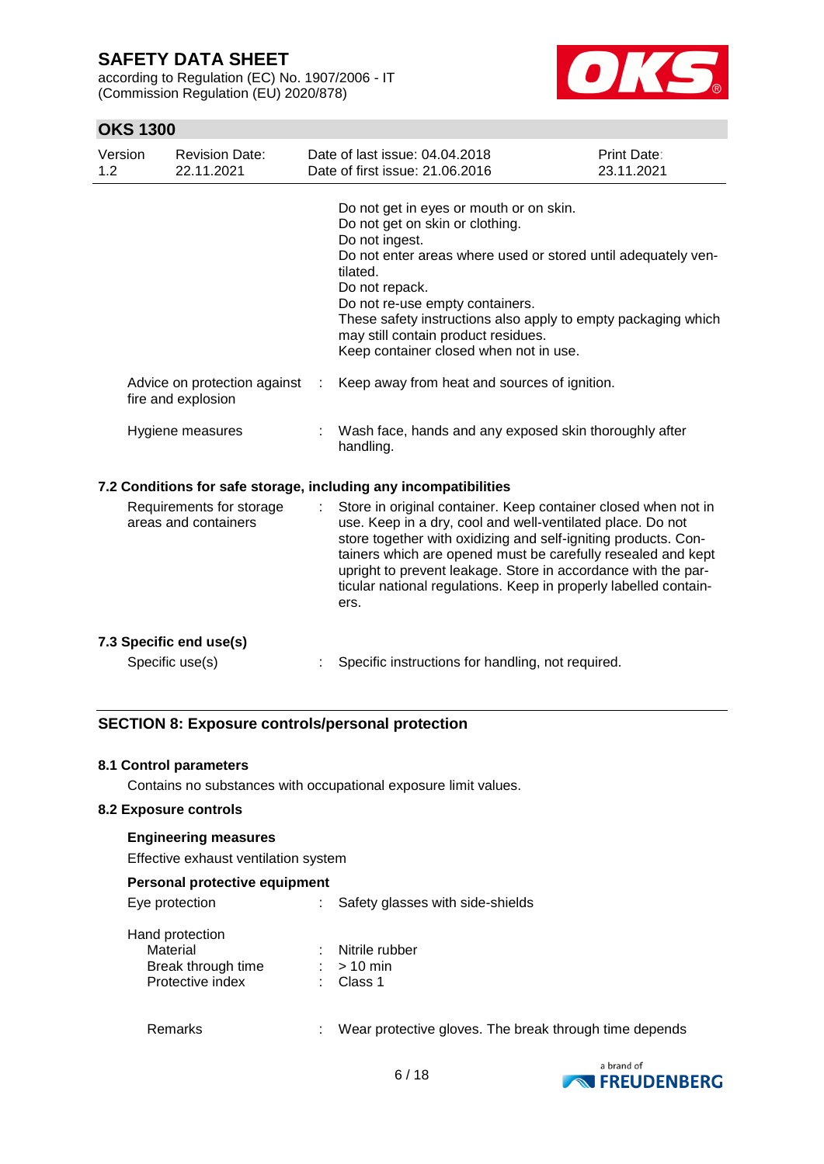according to Regulation (EC) No. 1907/2006 - IT (Commission Regulation (EU) 2020/878)



# **OKS 1300**

| Version<br>1.2 | <b>Revision Date:</b><br>22.11.2021                | Date of last issue: 04.04.2018<br>Date of first issue: 21.06.2016                                                                                                                                                                                                                                                                                                                                                                | Print Date:<br>23.11.2021 |
|----------------|----------------------------------------------------|----------------------------------------------------------------------------------------------------------------------------------------------------------------------------------------------------------------------------------------------------------------------------------------------------------------------------------------------------------------------------------------------------------------------------------|---------------------------|
|                | Advice on protection against<br>fire and explosion | Do not get in eyes or mouth or on skin.<br>Do not get on skin or clothing.<br>Do not ingest.<br>Do not enter areas where used or stored until adequately ven-<br>tilated.<br>Do not repack.<br>Do not re-use empty containers.<br>These safety instructions also apply to empty packaging which<br>may still contain product residues.<br>Keep container closed when not in use.<br>Keep away from heat and sources of ignition. |                           |
|                | Hygiene measures                                   | Wash face, hands and any exposed skin thoroughly after<br>handling.                                                                                                                                                                                                                                                                                                                                                              |                           |
|                |                                                    | 7.2 Conditions for safe storage, including any incompatibilities                                                                                                                                                                                                                                                                                                                                                                 |                           |
|                | Requirements for storage<br>areas and containers   | Store in original container. Keep container closed when not in<br>use. Keep in a dry, cool and well-ventilated place. Do not<br>store together with oxidizing and self-igniting products. Con-<br>tainers which are opened must be carefully resealed and kept<br>upright to prevent leakage. Store in accordance with the par-<br>ticular national regulations. Keep in properly labelled contain-<br>ers.                      |                           |
|                | 7.3 Specific end use(s)                            |                                                                                                                                                                                                                                                                                                                                                                                                                                  |                           |
|                | Specific use(s)                                    | Specific instructions for handling, not required.                                                                                                                                                                                                                                                                                                                                                                                |                           |

### **SECTION 8: Exposure controls/personal protection**

#### **8.1 Control parameters**

Contains no substances with occupational exposure limit values.

#### **8.2 Exposure controls**

#### **Engineering measures**

Effective exhaust ventilation system

### **Personal protective equipment**

| Eye protection |  | Safety glasses with side-shields |
|----------------|--|----------------------------------|
|----------------|--|----------------------------------|

| : Nitrile rubber |
|------------------|
| $:$ > 10 min     |
| : Class 1        |
|                  |

Remarks : Wear protective gloves. The break through time depends

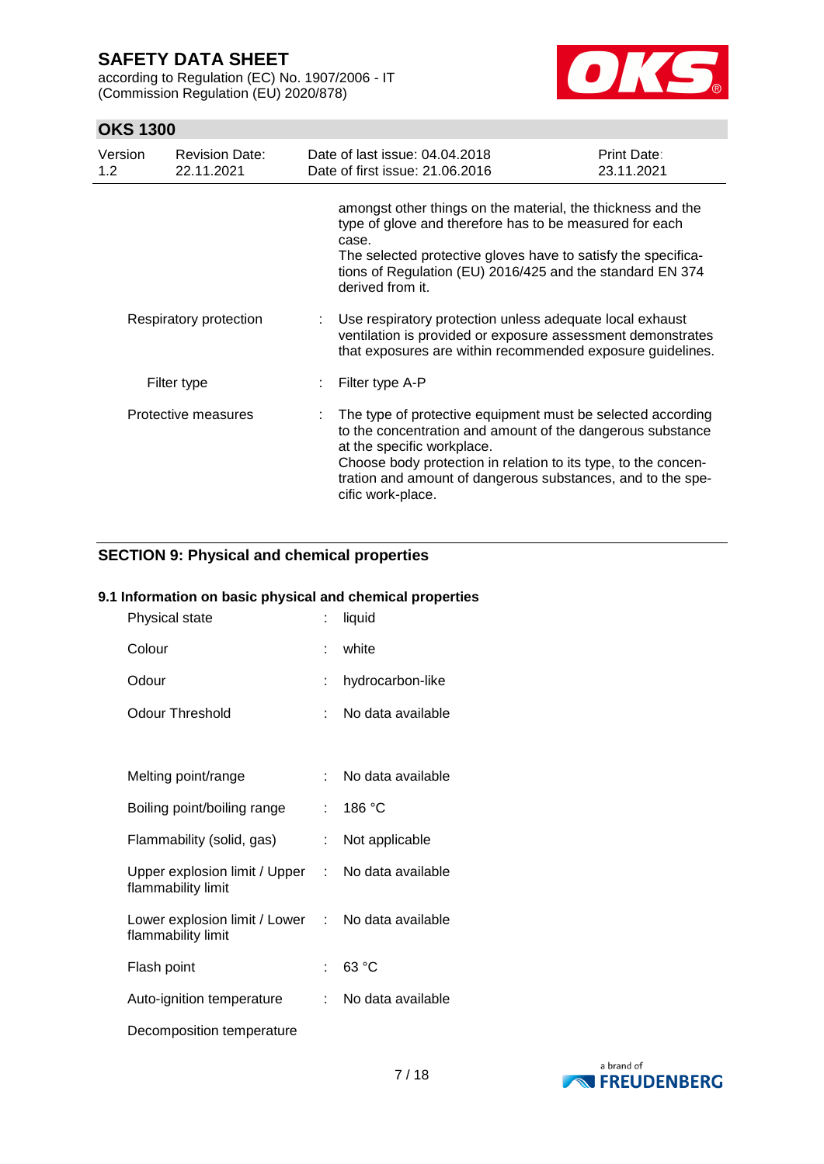according to Regulation (EC) No. 1907/2006 - IT (Commission Regulation (EU) 2020/878)



# **OKS 1300**

| Version<br>1.2 <sub>1</sub> | <b>Revision Date:</b><br>22.11.2021 | Date of last issue: 04.04.2018<br>Date of first issue: 21.06.2016                                                                                                                                                                                                                                             | Print Date:<br>23.11.2021 |
|-----------------------------|-------------------------------------|---------------------------------------------------------------------------------------------------------------------------------------------------------------------------------------------------------------------------------------------------------------------------------------------------------------|---------------------------|
|                             |                                     | amongst other things on the material, the thickness and the<br>type of glove and therefore has to be measured for each<br>case.<br>The selected protective gloves have to satisfy the specifica-<br>tions of Regulation (EU) 2016/425 and the standard EN 374<br>derived from it.                             |                           |
|                             | Respiratory protection              | Use respiratory protection unless adequate local exhaust<br>ventilation is provided or exposure assessment demonstrates<br>that exposures are within recommended exposure guidelines.                                                                                                                         |                           |
|                             | Filter type                         | Filter type A-P                                                                                                                                                                                                                                                                                               |                           |
|                             | Protective measures                 | The type of protective equipment must be selected according<br>to the concentration and amount of the dangerous substance<br>at the specific workplace.<br>Choose body protection in relation to its type, to the concen-<br>tration and amount of dangerous substances, and to the spe-<br>cific work-place. |                           |

# **SECTION 9: Physical and chemical properties**

# **9.1 Information on basic physical and chemical properties**

| Physical state                                        |    | liquid            |
|-------------------------------------------------------|----|-------------------|
| Colour                                                | t. | white             |
| Odour                                                 | t  | hydrocarbon-like  |
| <b>Odour Threshold</b>                                | ÷  | No data available |
|                                                       |    |                   |
| Melting point/range                                   | t. | No data available |
| Boiling point/boiling range                           | t. | 186 °C            |
| Flammability (solid, gas)                             | t. | Not applicable    |
| Upper explosion limit / Upper :<br>flammability limit |    | No data available |
| Lower explosion limit / Lower :<br>flammability limit |    | No data available |
| Flash point                                           | t  | 63 °C             |
| Auto-ignition temperature                             | t. | No data available |
| Decomposition temperature                             |    |                   |

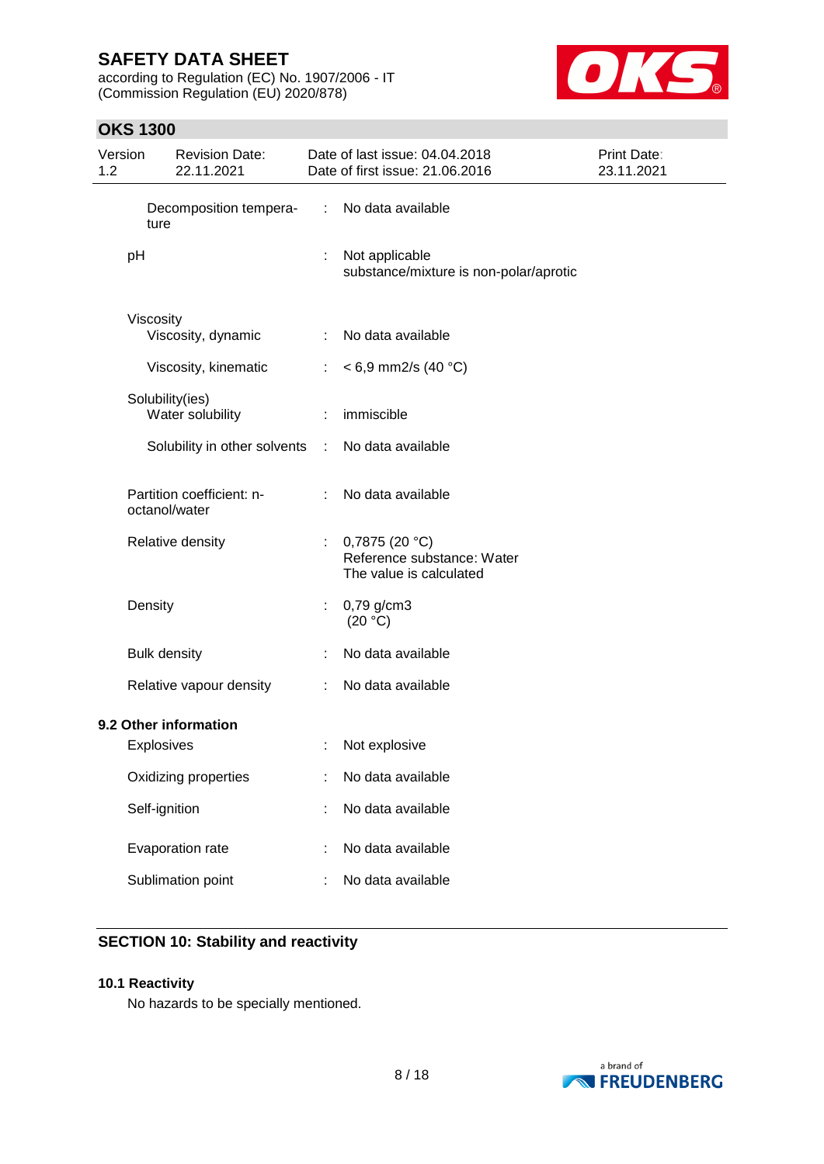according to Regulation (EC) No. 1907/2006 - IT (Commission Regulation (EU) 2020/878)



# **OKS 1300**

| Version<br>1.2 |                     | <b>Revision Date:</b><br>22.11.2021        |               | Date of last issue: 04.04.2018<br>Date of first issue: 21.06.2016         | <b>Print Date:</b><br>23.11.2021 |
|----------------|---------------------|--------------------------------------------|---------------|---------------------------------------------------------------------------|----------------------------------|
|                | ture                | Decomposition tempera-                     | $\mathcal{L}$ | No data available                                                         |                                  |
|                | pH                  |                                            | ÷             | Not applicable<br>substance/mixture is non-polar/aprotic                  |                                  |
|                | Viscosity           | Viscosity, dynamic                         | ÷             | No data available                                                         |                                  |
|                |                     | Viscosity, kinematic                       |               | $<$ 6,9 mm2/s (40 °C)                                                     |                                  |
|                |                     | Solubility(ies)<br>Water solubility        |               | immiscible                                                                |                                  |
|                |                     | Solubility in other solvents               | $\mathcal{L}$ | No data available                                                         |                                  |
|                |                     | Partition coefficient: n-<br>octanol/water |               | No data available                                                         |                                  |
|                |                     | Relative density                           |               | 0,7875 $(20 °C)$<br>Reference substance: Water<br>The value is calculated |                                  |
|                | Density             |                                            |               | 0,79 g/cm3<br>(20 °C)                                                     |                                  |
|                | <b>Bulk density</b> |                                            |               | No data available                                                         |                                  |
|                |                     | Relative vapour density                    |               | No data available                                                         |                                  |
|                |                     | 9.2 Other information                      |               |                                                                           |                                  |
|                | <b>Explosives</b>   |                                            |               | Not explosive                                                             |                                  |
|                |                     | Oxidizing properties                       |               | No data available                                                         |                                  |
|                | Self-ignition       |                                            |               | No data available                                                         |                                  |
|                |                     | Evaporation rate                           |               | No data available                                                         |                                  |
|                |                     | Sublimation point                          |               | No data available                                                         |                                  |

# **SECTION 10: Stability and reactivity**

### **10.1 Reactivity**

No hazards to be specially mentioned.

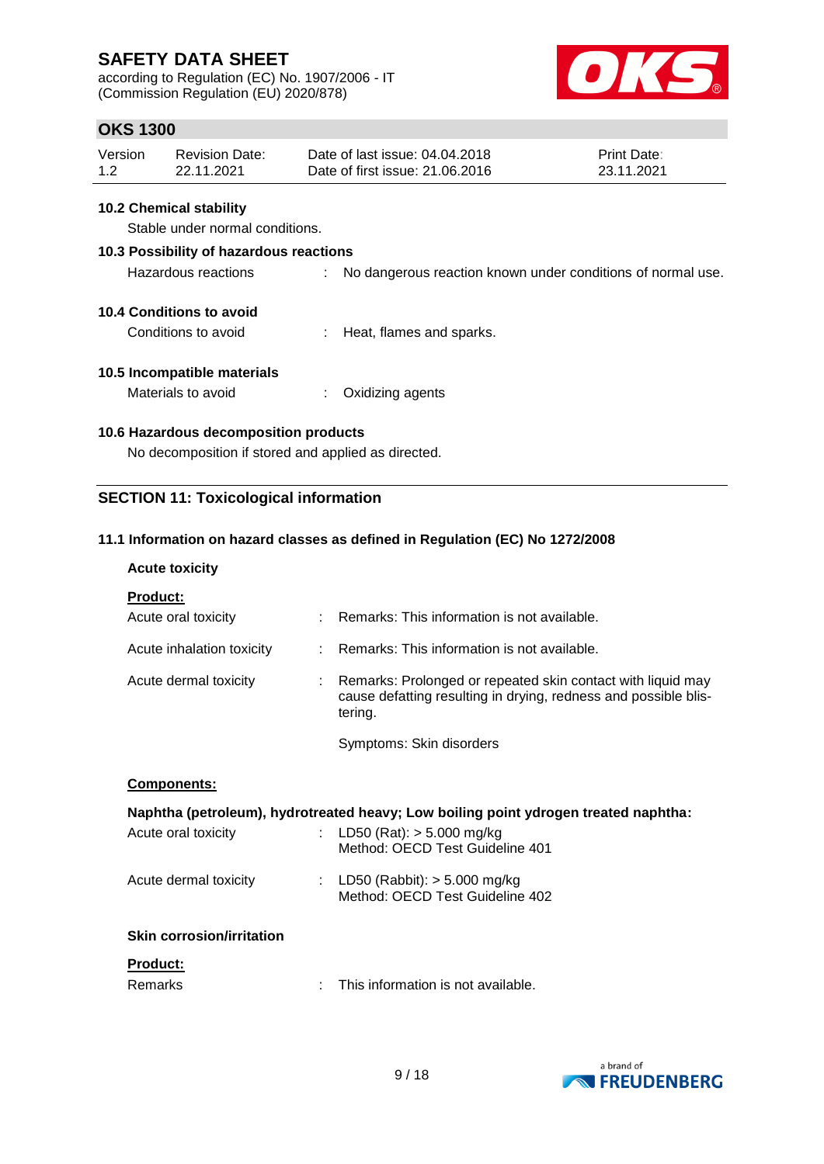according to Regulation (EC) No. 1907/2006 - IT (Commission Regulation (EU) 2020/878)



# **OKS 1300**

| Version | <b>Revision Date:</b> | Date of last issue: 04.04.2018  | <b>Print Date:</b> |
|---------|-----------------------|---------------------------------|--------------------|
| 1.2     | 22.11.2021            | Date of first issue: 21,06,2016 | 23.11.2021         |

### **10.2 Chemical stability**

Stable under normal conditions.

# **10.3 Possibility of hazardous reactions**

| Hazardous reactions | No dangerous reaction known under conditions of normal use. |
|---------------------|-------------------------------------------------------------|
|                     |                                                             |

### **10.4 Conditions to avoid**

Conditions to avoid : Heat, flames and sparks.

### **10.5 Incompatible materials**

Materials to avoid : Oxidizing agents

### **10.6 Hazardous decomposition products**

No decomposition if stored and applied as directed.

### **SECTION 11: Toxicological information**

### **11.1 Information on hazard classes as defined in Regulation (EC) No 1272/2008**

### **Acute toxicity**

| <b>Product:</b>           |    |                                                                                                                                             |
|---------------------------|----|---------------------------------------------------------------------------------------------------------------------------------------------|
| Acute oral toxicity       | t. | Remarks: This information is not available.                                                                                                 |
| Acute inhalation toxicity |    | : Remarks: This information is not available.                                                                                               |
| Acute dermal toxicity     |    | : Remarks: Prolonged or repeated skin contact with liquid may<br>cause defatting resulting in drying, redness and possible blis-<br>tering. |
|                           |    | Symptoms: Skin disorders                                                                                                                    |

#### **Components:**

|                     | Naphtha (petroleum), hydrotreated heavy; Low boiling point ydrogen treated naphtha: |  |
|---------------------|-------------------------------------------------------------------------------------|--|
| Acute oral toxicity | : LD50 (Rat): $>$ 5.000 mg/kg                                                       |  |

|                       | Method: OECD Test Guideline 401                                     |
|-----------------------|---------------------------------------------------------------------|
| Acute dermal toxicity | : LD50 (Rabbit): $> 5.000$ mg/kg<br>Method: OECD Test Guideline 402 |

### **Skin corrosion/irritation**

#### **Product:**

| Remarks | This information is not available. |
|---------|------------------------------------|
|---------|------------------------------------|

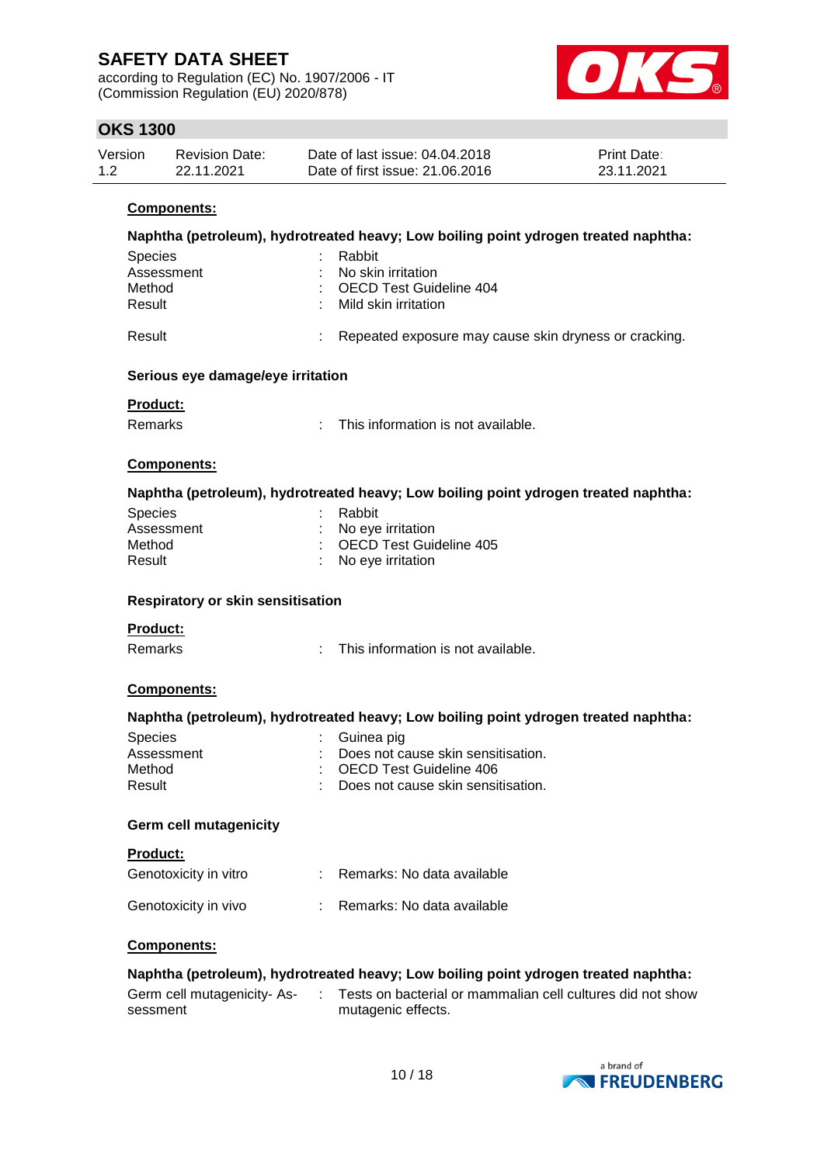according to Regulation (EC) No. 1907/2006 - IT (Commission Regulation (EU) 2020/878)



# **OKS 1300**

| Version | <b>Revision Date:</b> | Date of last issue: 04.04.2018  | <b>Print Date:</b> |
|---------|-----------------------|---------------------------------|--------------------|
| 1.2     | 22.11.2021            | Date of first issue: 21,06,2016 | 23.11.2021         |

### **Components:**

|                                   | Naphtha (petroleum), hydrotreated heavy; Low boiling point ydrogen treated naphtha: |
|-----------------------------------|-------------------------------------------------------------------------------------|
| Species                           | Rabbit                                                                              |
| Assessment                        | No skin irritation                                                                  |
| Method                            | <b>OECD Test Guideline 404</b>                                                      |
| Result                            | Mild skin irritation                                                                |
|                                   |                                                                                     |
| Result                            | Repeated exposure may cause skin dryness or cracking.                               |
|                                   |                                                                                     |
| Serious eye damage/eye irritation |                                                                                     |
| <b>Product:</b>                   |                                                                                     |
| <b>Remarks</b>                    | This information is not available.<br>÷.                                            |
|                                   |                                                                                     |
| Components:                       |                                                                                     |
|                                   |                                                                                     |
|                                   | Naphtha (petroleum), hydrotreated heavy; Low boiling point ydrogen treated naphtha: |
| <b>Species</b>                    | Rabbit                                                                              |
| Assessment                        | No eye irritation                                                                   |
| Method                            | <b>OECD Test Guideline 405</b>                                                      |
| Result                            | No eye irritation                                                                   |
|                                   |                                                                                     |
| Respiratory or skin sensitisation |                                                                                     |
| <b>Product:</b>                   |                                                                                     |
| <b>Remarks</b>                    | This information is not available.<br>t.                                            |
|                                   |                                                                                     |
| Components:                       |                                                                                     |
|                                   |                                                                                     |
|                                   | Naphtha (petroleum), hydrotreated heavy; Low boiling point ydrogen treated naphtha: |
| Species                           | Guinea pig                                                                          |
| Assessment                        | Does not cause skin sensitisation.                                                  |
| Method                            | <b>OECD Test Guideline 406</b>                                                      |
| Result                            | Does not cause skin sensitisation.                                                  |
|                                   |                                                                                     |
| <b>Germ cell mutagenicity</b>     |                                                                                     |
| Product:                          |                                                                                     |
| Genotoxicity in vitro             | Remarks: No data available                                                          |
|                                   |                                                                                     |
| Genotoxicity in vivo              | Remarks: No data available                                                          |
|                                   |                                                                                     |
| <b>Components:</b>                |                                                                                     |
|                                   | Naphtha (petroleum), hydrotreated heavy; Low boiling point ydrogen treated naphtha: |
|                                   |                                                                                     |
| Germ cell mutagenicity-As-        | Tests on bacterial or mammalian cell cultures did not show                          |
| sessment                          | mutagenic effects.                                                                  |
|                                   |                                                                                     |
|                                   |                                                                                     |

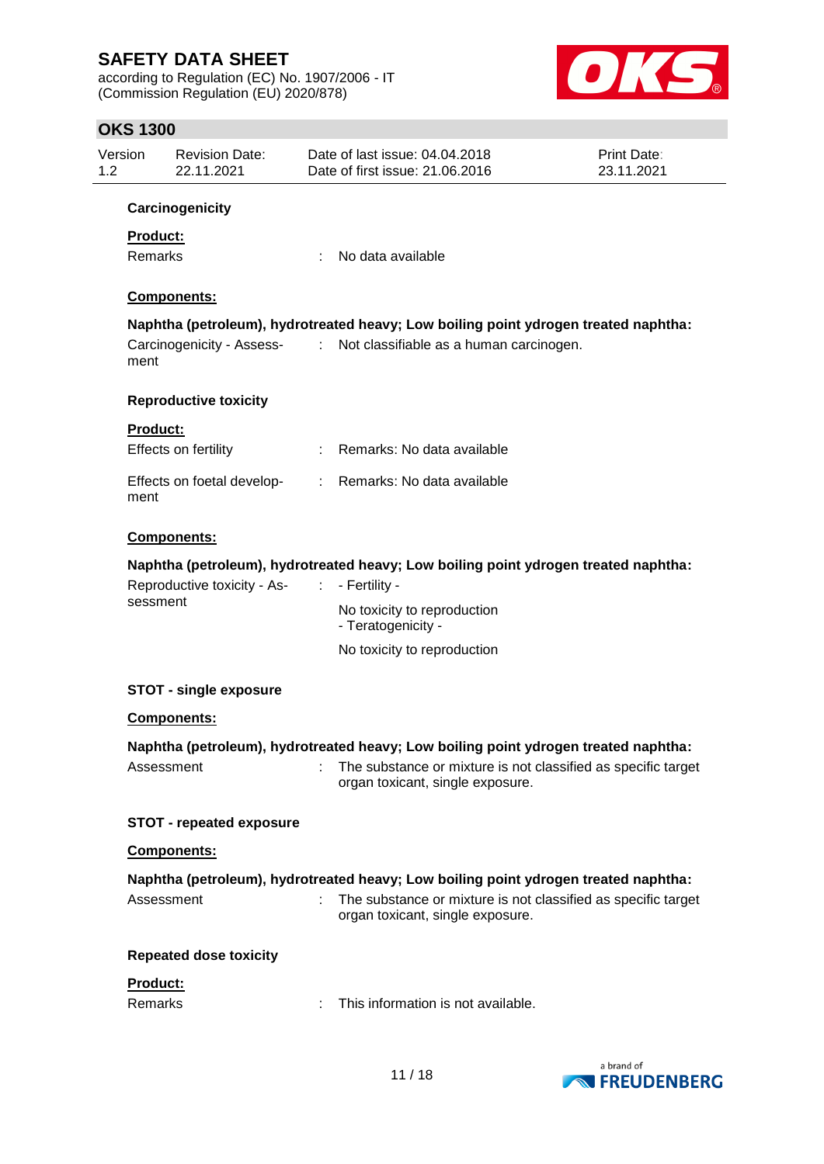according to Regulation (EC) No. 1907/2006 - IT (Commission Regulation (EU) 2020/878)



# **OKS 1300**

| Version<br>1.2 | <b>Revision Date:</b><br>22.11.2021     | Date of last issue: 04.04.2018<br>Date of first issue: 21.06.2016                                   | <b>Print Date:</b><br>23.11.2021 |
|----------------|-----------------------------------------|-----------------------------------------------------------------------------------------------------|----------------------------------|
|                | Carcinogenicity                         |                                                                                                     |                                  |
|                | <b>Product:</b>                         |                                                                                                     |                                  |
|                | Remarks                                 | No data available                                                                                   |                                  |
|                | Components:                             |                                                                                                     |                                  |
|                |                                         | Naphtha (petroleum), hydrotreated heavy; Low boiling point ydrogen treated naphtha:                 |                                  |
|                | ment                                    | Carcinogenicity - Assess- : Not classifiable as a human carcinogen.                                 |                                  |
|                | <b>Reproductive toxicity</b>            |                                                                                                     |                                  |
|                | <b>Product:</b>                         |                                                                                                     |                                  |
|                | Effects on fertility                    | : Remarks: No data available                                                                        |                                  |
|                | Effects on foetal develop-<br>ment      | : Remarks: No data available                                                                        |                                  |
|                | Components:                             |                                                                                                     |                                  |
|                |                                         | Naphtha (petroleum), hydrotreated heavy; Low boiling point ydrogen treated naphtha:                 |                                  |
|                | Reproductive toxicity - As-<br>sessment | $\therefore$ - Fertility -                                                                          |                                  |
|                |                                         | No toxicity to reproduction<br>- Teratogenicity -                                                   |                                  |
|                |                                         | No toxicity to reproduction                                                                         |                                  |
|                | <b>STOT - single exposure</b>           |                                                                                                     |                                  |
|                | Components:                             |                                                                                                     |                                  |
|                |                                         | Naphtha (petroleum), hydrotreated heavy; Low boiling point ydrogen treated naphtha:                 |                                  |
|                | Assessment                              | : The substance or mixture is not classified as specific target<br>organ toxicant, single exposure. |                                  |
|                | <b>STOT - repeated exposure</b>         |                                                                                                     |                                  |
|                | Components:                             |                                                                                                     |                                  |
|                |                                         | Naphtha (petroleum), hydrotreated heavy; Low boiling point ydrogen treated naphtha:                 |                                  |
|                | Assessment                              | The substance or mixture is not classified as specific target<br>organ toxicant, single exposure.   |                                  |
|                | <b>Repeated dose toxicity</b>           |                                                                                                     |                                  |
|                | Product:                                |                                                                                                     |                                  |
|                | <b>Remarks</b>                          | This information is not available.                                                                  |                                  |

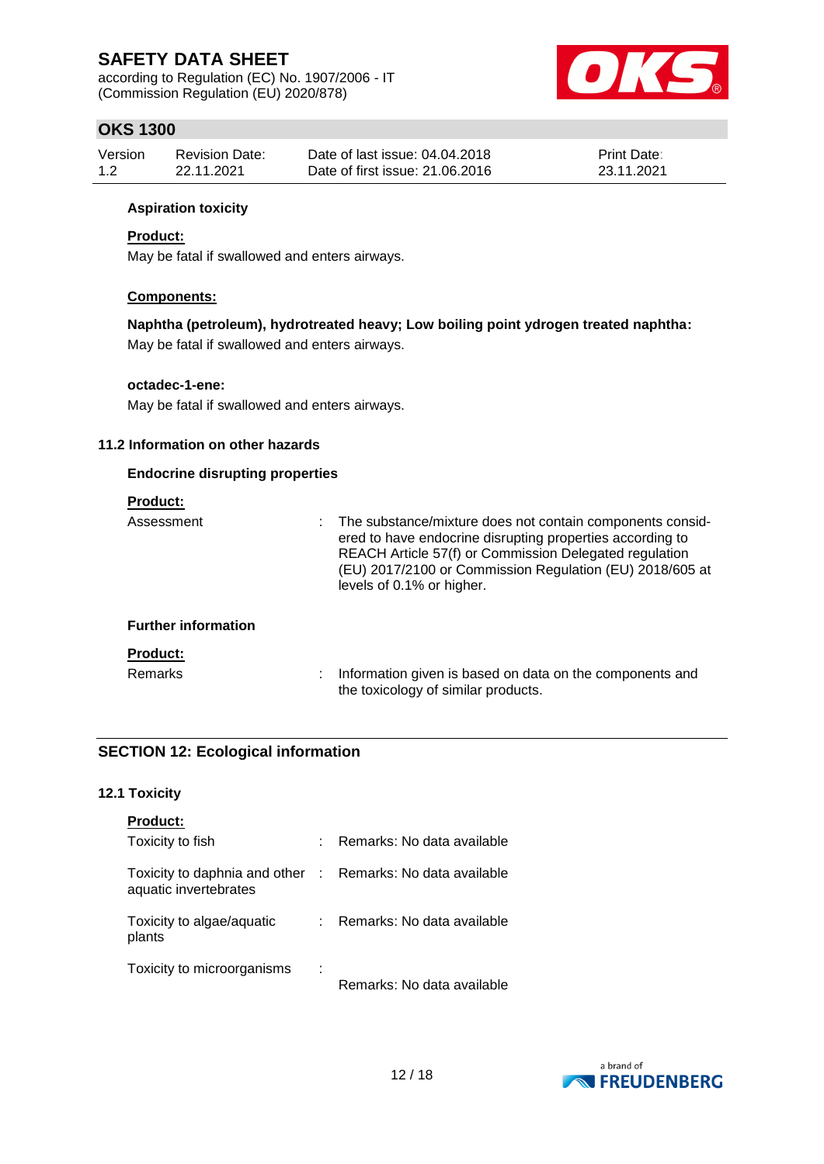according to Regulation (EC) No. 1907/2006 - IT (Commission Regulation (EU) 2020/878)



# **OKS 1300**

| Version | Revision Date: | Date of last issue: 04.04.2018  | <b>Print Date:</b> |
|---------|----------------|---------------------------------|--------------------|
| 1.2     | 22.11.2021     | Date of first issue: 21,06,2016 | 23.11.2021         |

### **Aspiration toxicity**

### **Product:**

May be fatal if swallowed and enters airways.

### **Components:**

**Naphtha (petroleum), hydrotreated heavy; Low boiling point ydrogen treated naphtha:** May be fatal if swallowed and enters airways.

### **octadec-1-ene:**

May be fatal if swallowed and enters airways.

### **11.2 Information on other hazards**

### **Endocrine disrupting properties**

### **Product:**

| Assessment                 | : The substance/mixture does not contain components consid-<br>ered to have endocrine disrupting properties according to<br>REACH Article 57(f) or Commission Delegated regulation<br>(EU) 2017/2100 or Commission Regulation (EU) 2018/605 at<br>levels of 0.1% or higher. |
|----------------------------|-----------------------------------------------------------------------------------------------------------------------------------------------------------------------------------------------------------------------------------------------------------------------------|
| <b>Further information</b> |                                                                                                                                                                                                                                                                             |
| <b>Product:</b>            |                                                                                                                                                                                                                                                                             |
| <b>Remarks</b>             | Information given is based on data on the components and<br>the toxicology of similar products.                                                                                                                                                                             |

### **SECTION 12: Ecological information**

### **12.1 Toxicity**

| <b>Product:</b>                                        |             |                            |
|--------------------------------------------------------|-------------|----------------------------|
| Toxicity to fish                                       |             | Remarks: No data available |
| Toxicity to daphnia and other<br>aquatic invertebrates | $\sim 10^6$ | Remarks: No data available |
| Toxicity to algae/aquatic<br>plants                    |             | Remarks: No data available |
| Toxicity to microorganisms                             | ×           | Remarks: No data available |

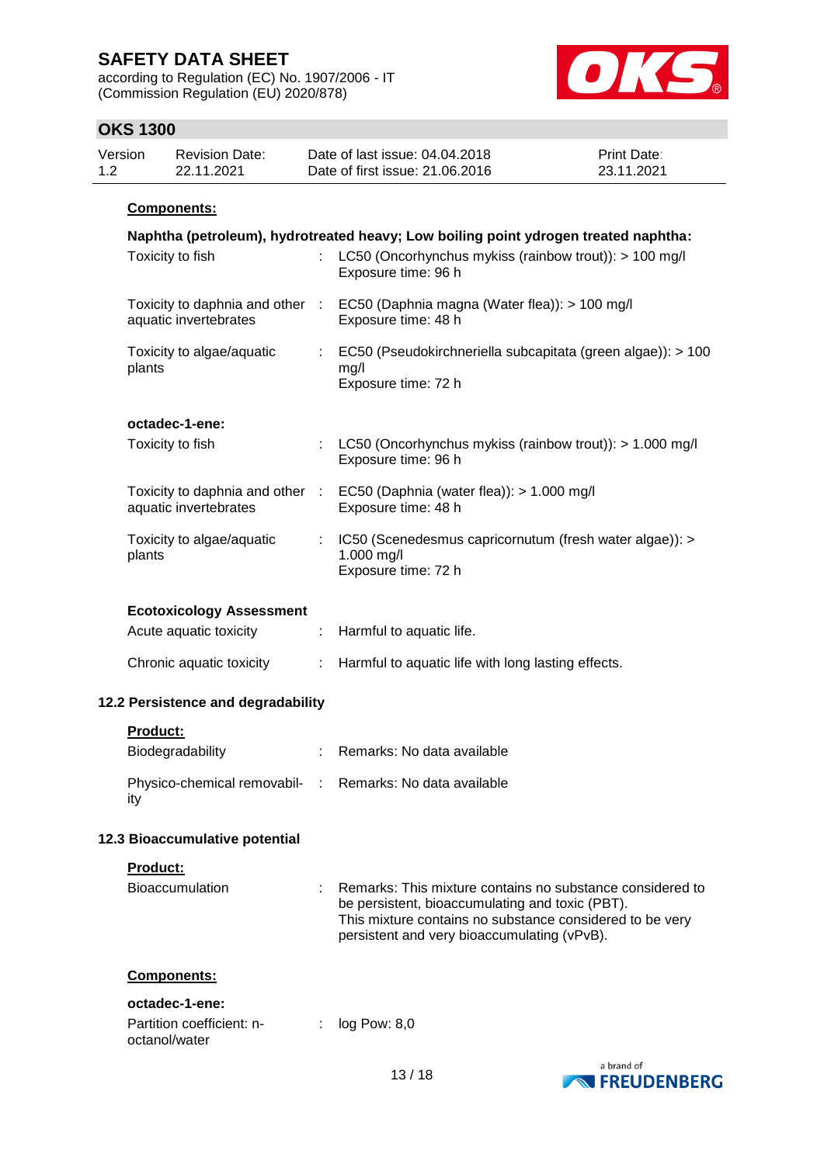according to Regulation (EC) No. 1907/2006 - IT (Commission Regulation (EU) 2020/878)



# **OKS 1300**

| Version | Revision Date: | Date of last issue: 04.04.2018  | <b>Print Date:</b> |
|---------|----------------|---------------------------------|--------------------|
| 1.2     | 22.11.2021     | Date of first issue: 21,06,2016 | 23.11.2021         |
|         |                |                                 |                    |

### **Components:**

| Naphtha (petroleum), hydrotreated heavy; Low boiling point ydrogen treated naphtha:<br>Toxicity to fish<br>LC50 (Oncorhynchus mykiss (rainbow trout)): > 100 mg/l<br>Exposure time: 96 h |                               |                                                                                                      |  |  |
|------------------------------------------------------------------------------------------------------------------------------------------------------------------------------------------|-------------------------------|------------------------------------------------------------------------------------------------------|--|--|
| aquatic invertebrates                                                                                                                                                                    |                               | Toxicity to daphnia and other : EC50 (Daphnia magna (Water flea)): > 100 mg/l<br>Exposure time: 48 h |  |  |
| Toxicity to algae/aquatic<br>plants                                                                                                                                                      | $\mathcal{L}^{\mathcal{L}}$ . | EC50 (Pseudokirchneriella subcapitata (green algae)): > 100<br>mg/l<br>Exposure time: 72 h           |  |  |
| octadec-1-ene:                                                                                                                                                                           |                               |                                                                                                      |  |  |
| Toxicity to fish                                                                                                                                                                         |                               | : LC50 (Oncorhynchus mykiss (rainbow trout)): $> 1.000$ mg/l<br>Exposure time: 96 h                  |  |  |
| aquatic invertebrates                                                                                                                                                                    |                               | Toxicity to daphnia and other : EC50 (Daphnia (water flea)): > 1.000 mg/l<br>Exposure time: 48 h     |  |  |
| Toxicity to algae/aquatic<br>plants                                                                                                                                                      |                               | : IC50 (Scenedesmus capricornutum (fresh water algae)): ><br>1.000 mg/l<br>Exposure time: 72 h       |  |  |
| <b>Ecotoxicology Assessment</b>                                                                                                                                                          |                               |                                                                                                      |  |  |
| Acute aquatic toxicity                                                                                                                                                                   | ÷.                            | Harmful to aquatic life.                                                                             |  |  |
| Chronic aquatic toxicity                                                                                                                                                                 | ÷.                            | Harmful to aquatic life with long lasting effects.                                                   |  |  |
| 12.2 Persistence and degradability                                                                                                                                                       |                               |                                                                                                      |  |  |
| <b>Product:</b>                                                                                                                                                                          |                               |                                                                                                      |  |  |
| Biodegradability                                                                                                                                                                         |                               | : Remarks: No data available                                                                         |  |  |
| Physico-chemical removabil- : Remarks: No data available<br>ity                                                                                                                          |                               |                                                                                                      |  |  |
| 12.3 Bioaccumulative potential                                                                                                                                                           |                               |                                                                                                      |  |  |
| <b>Product:</b>                                                                                                                                                                          |                               |                                                                                                      |  |  |

| Bioaccumulation | Remarks: This mixture contains no substance considered to                                                   |
|-----------------|-------------------------------------------------------------------------------------------------------------|
|                 | be persistent, bioaccumulating and toxic (PBT).<br>This mixture contains no substance considered to be very |
|                 | persistent and very bioaccumulating (vPvB).                                                                 |

### **Components:**

### **octadec-1-ene:**

| Partition coefficient: n- |  | $\therefore$ log Pow: 8,0 |
|---------------------------|--|---------------------------|
| octanol/water             |  |                           |

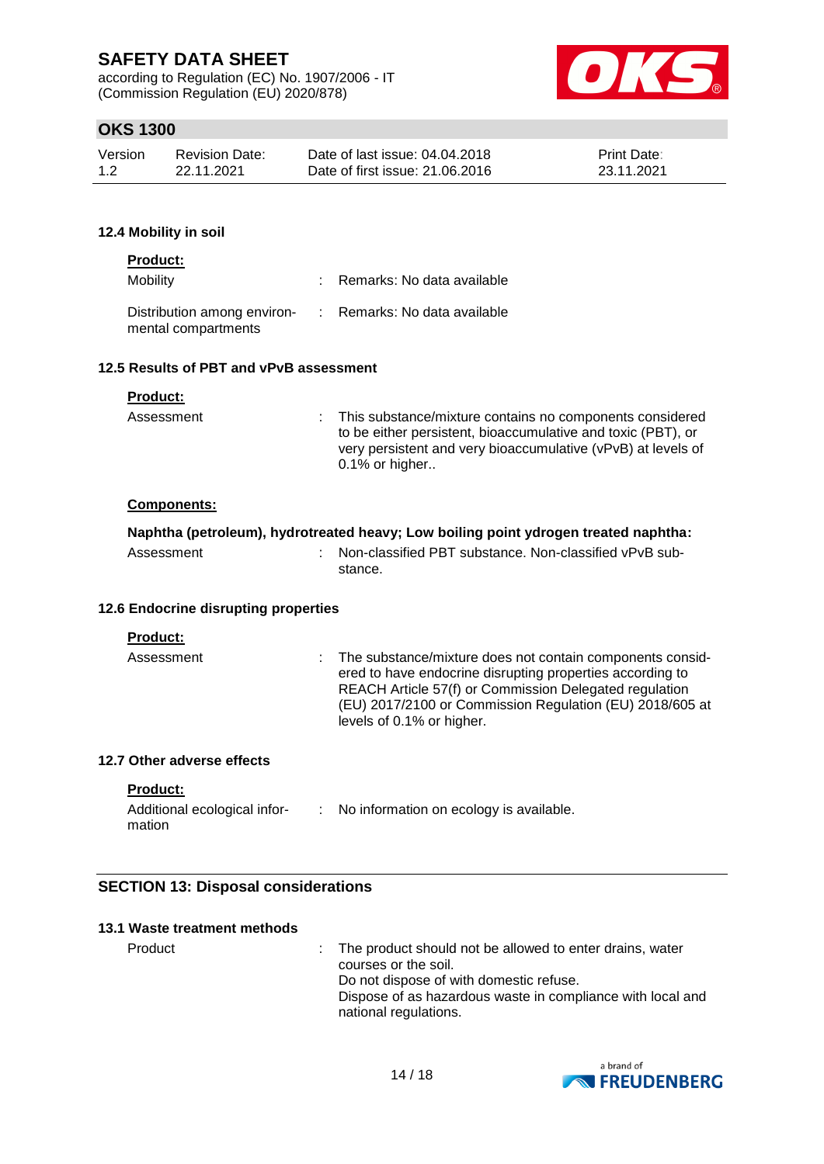according to Regulation (EC) No. 1907/2006 - IT (Commission Regulation (EU) 2020/878)



# **OKS 1300**

| Version | <b>Revision Date:</b> | Date of last issue: 04.04.2018  | <b>Print Date:</b> |
|---------|-----------------------|---------------------------------|--------------------|
| 1.2     | 22.11.2021            | Date of first issue: 21,06,2016 | 23.11.2021         |

### **12.4 Mobility in soil**

| <b>Product:</b>                                    |                              |
|----------------------------------------------------|------------------------------|
| Mobility                                           | : Remarks: No data available |
| Distribution among environ-<br>mental compartments | : Remarks: No data available |

#### **12.5 Results of PBT and vPvB assessment**

| Assessment | : This substance/mixture contains no components considered<br>to be either persistent, bioaccumulative and toxic (PBT), or<br>very persistent and very bioaccumulative (vPvB) at levels of<br>$0.1\%$ or higher |
|------------|-----------------------------------------------------------------------------------------------------------------------------------------------------------------------------------------------------------------|
|            |                                                                                                                                                                                                                 |

### **Components:**

| Naphtha (petroleum), hydrotreated heavy; Low boiling point ydrogen treated naphtha: |  |                                                          |  |  |
|-------------------------------------------------------------------------------------|--|----------------------------------------------------------|--|--|
| Assessment                                                                          |  | : Non-classified PBT substance. Non-classified vPvB sub- |  |  |
|                                                                                     |  | stance.                                                  |  |  |

### **12.6 Endocrine disrupting properties**

| Assessment | The substance/mixture does not contain components consid-<br>t.<br>ered to have endocrine disrupting properties according to<br>REACH Article 57(f) or Commission Delegated regulation<br>(EU) 2017/2100 or Commission Regulation (EU) 2018/605 at<br>levels of 0.1% or higher. |
|------------|---------------------------------------------------------------------------------------------------------------------------------------------------------------------------------------------------------------------------------------------------------------------------------|
|------------|---------------------------------------------------------------------------------------------------------------------------------------------------------------------------------------------------------------------------------------------------------------------------------|

### **12.7 Other adverse effects**

**Product:**

| Additional ecological infor- | No information on ecology is available. |
|------------------------------|-----------------------------------------|
| mation                       |                                         |

### **SECTION 13: Disposal considerations**

| 13.1 Waste treatment methods |                                                                                                                                                                                                                      |
|------------------------------|----------------------------------------------------------------------------------------------------------------------------------------------------------------------------------------------------------------------|
| Product                      | : The product should not be allowed to enter drains, water<br>courses or the soil.<br>Do not dispose of with domestic refuse.<br>Dispose of as hazardous waste in compliance with local and<br>national regulations. |

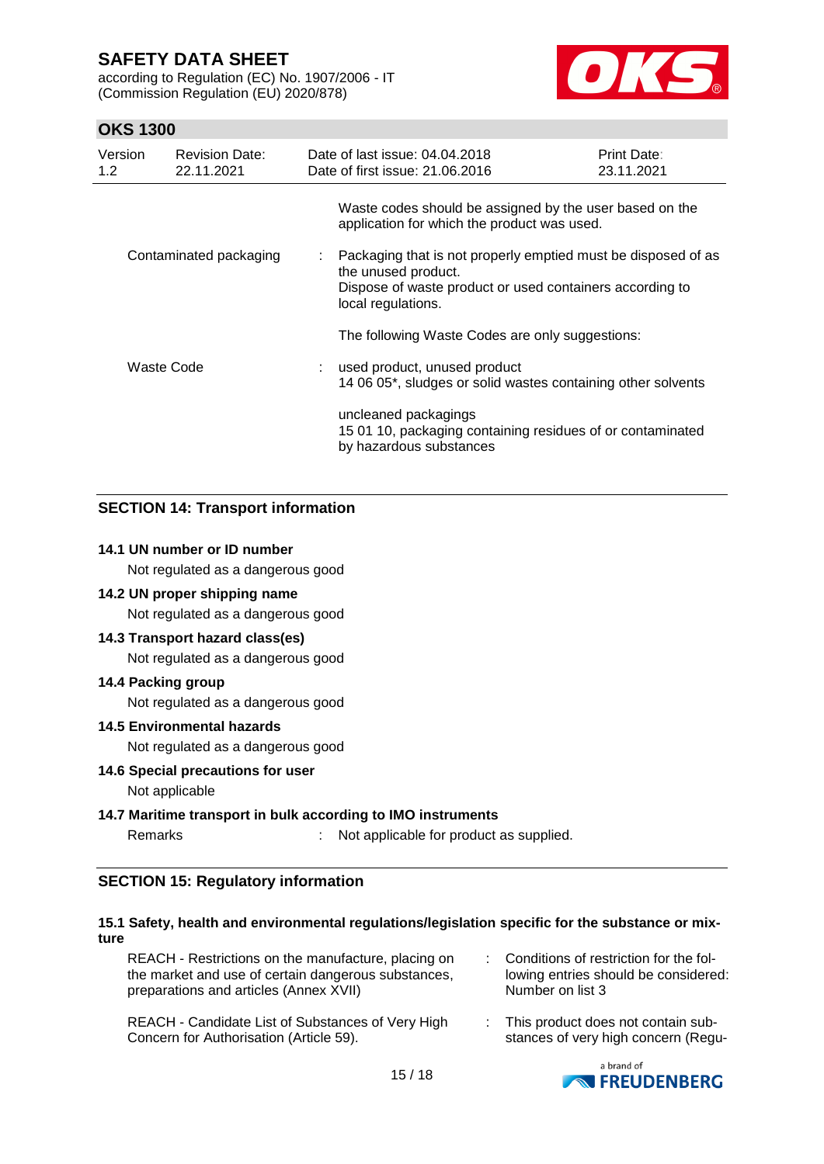according to Regulation (EC) No. 1907/2006 - IT (Commission Regulation (EU) 2020/878)



# **OKS 1300**

| Version<br>1.2 <sub>2</sub> | <b>Revision Date:</b><br>22.11.2021 |                  | Date of last issue: 04.04.2018<br>Date of first issue: 21.06.2016                                                                                                      | <b>Print Date:</b><br>23.11.2021 |
|-----------------------------|-------------------------------------|------------------|------------------------------------------------------------------------------------------------------------------------------------------------------------------------|----------------------------------|
|                             |                                     |                  | Waste codes should be assigned by the user based on the<br>application for which the product was used.                                                                 |                                  |
| Contaminated packaging      |                                     | $\mathbb{Z}^n$ . | Packaging that is not properly emptied must be disposed of as<br>the unused product.<br>Dispose of waste product or used containers according to<br>local regulations. |                                  |
|                             |                                     |                  | The following Waste Codes are only suggestions:                                                                                                                        |                                  |
| Waste Code                  |                                     |                  | used product, unused product<br>14 06 05*, sludges or solid wastes containing other solvents                                                                           |                                  |
|                             |                                     |                  | uncleaned packagings<br>15 01 10, packaging containing residues of or contaminated<br>by hazardous substances                                                          |                                  |

### **SECTION 14: Transport information**

### **14.1 UN number or ID number**

Not regulated as a dangerous good

### **14.2 UN proper shipping name**

Not regulated as a dangerous good

### **14.3 Transport hazard class(es)**

Not regulated as a dangerous good

### **14.4 Packing group**

Not regulated as a dangerous good

### **14.5 Environmental hazards**

Not regulated as a dangerous good

#### **14.6 Special precautions for user**

Not applicable

### **14.7 Maritime transport in bulk according to IMO instruments**

Remarks : Not applicable for product as supplied.

### **SECTION 15: Regulatory information**

### **15.1 Safety, health and environmental regulations/legislation specific for the substance or mixture**

REACH - Candidate List of Substances of Very High Concern for Authorisation (Article 59). : This product does not contain substances of very high concern (Regu-

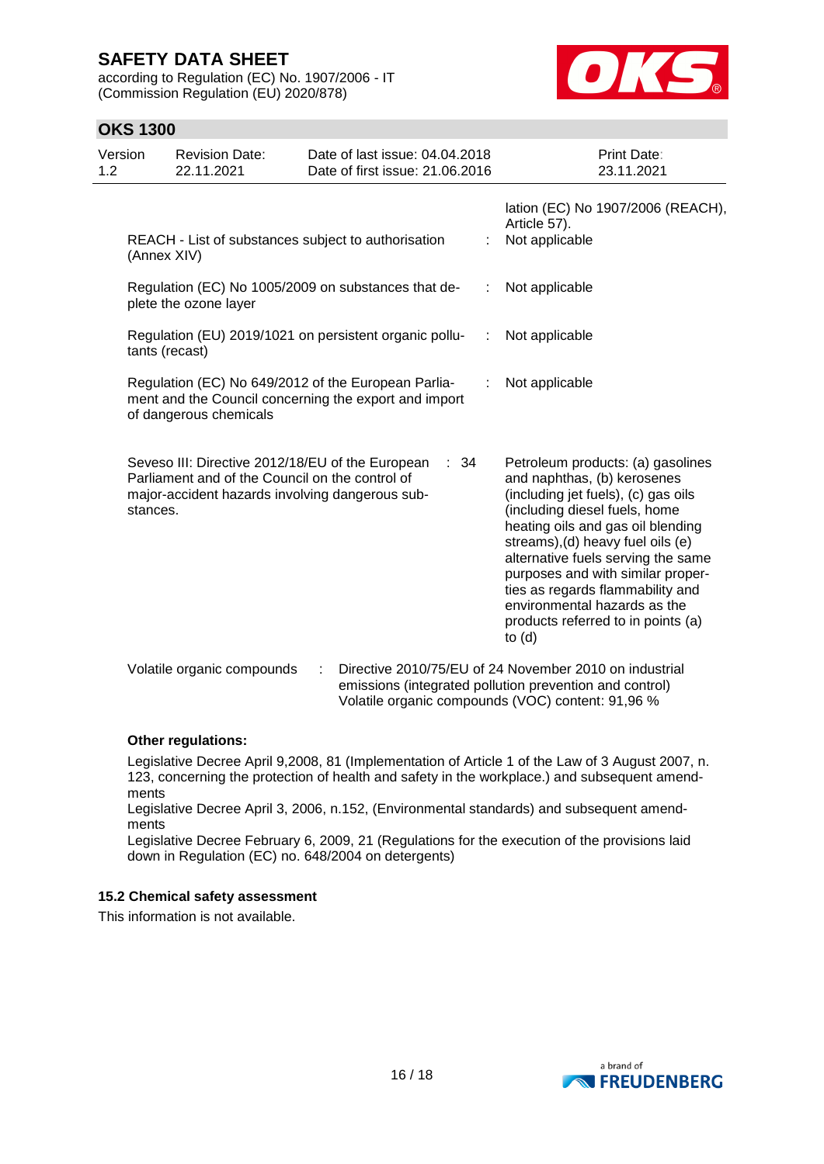according to Regulation (EC) No. 1907/2006 - IT (Commission Regulation (EU) 2020/878)



# **OKS 1300**

| Version<br>1.2 | <b>Revision Date:</b><br>22.11.2021             | Date of last issue: 04.04.2018<br>Date of first issue: 21.06.2016                                            |   | <b>Print Date:</b><br>23.11.2021                                                                                                                                                                                                                                                                                                                                                                                    |
|----------------|-------------------------------------------------|--------------------------------------------------------------------------------------------------------------|---|---------------------------------------------------------------------------------------------------------------------------------------------------------------------------------------------------------------------------------------------------------------------------------------------------------------------------------------------------------------------------------------------------------------------|
|                | (Annex XIV)                                     | REACH - List of substances subject to authorisation                                                          |   | lation (EC) No 1907/2006 (REACH),<br>Article 57).<br>Not applicable                                                                                                                                                                                                                                                                                                                                                 |
|                | plete the ozone layer                           | Regulation (EC) No 1005/2009 on substances that de-                                                          | ÷ | Not applicable                                                                                                                                                                                                                                                                                                                                                                                                      |
|                | tants (recast)                                  | Regulation (EU) 2019/1021 on persistent organic pollu-                                                       | ÷ | Not applicable                                                                                                                                                                                                                                                                                                                                                                                                      |
|                | of dangerous chemicals                          | Regulation (EC) No 649/2012 of the European Parlia-<br>ment and the Council concerning the export and import |   | Not applicable                                                                                                                                                                                                                                                                                                                                                                                                      |
| stances.       | Parliament and of the Council on the control of | Seveso III: Directive 2012/18/EU of the European<br>: 34<br>major-accident hazards involving dangerous sub-  |   | Petroleum products: (a) gasolines<br>and naphthas, (b) kerosenes<br>(including jet fuels), (c) gas oils<br>(including diesel fuels, home<br>heating oils and gas oil blending<br>streams), (d) heavy fuel oils (e)<br>alternative fuels serving the same<br>purposes and with similar proper-<br>ties as regards flammability and<br>environmental hazards as the<br>products referred to in points (a)<br>to $(d)$ |
|                | Volatile organic compounds                      | ÷                                                                                                            |   | Directive 2010/75/EU of 24 November 2010 on industrial<br>emissions (integrated pollution prevention and control)<br>Volatile organic compounds (VOC) content: 91,96 %                                                                                                                                                                                                                                              |

### **Other regulations:**

Legislative Decree April 9,2008, 81 (Implementation of Article 1 of the Law of 3 August 2007, n. 123, concerning the protection of health and safety in the workplace.) and subsequent amendments

Legislative Decree April 3, 2006, n.152, (Environmental standards) and subsequent amendments

Legislative Decree February 6, 2009, 21 (Regulations for the execution of the provisions laid down in Regulation (EC) no. 648/2004 on detergents)

### **15.2 Chemical safety assessment**

This information is not available.

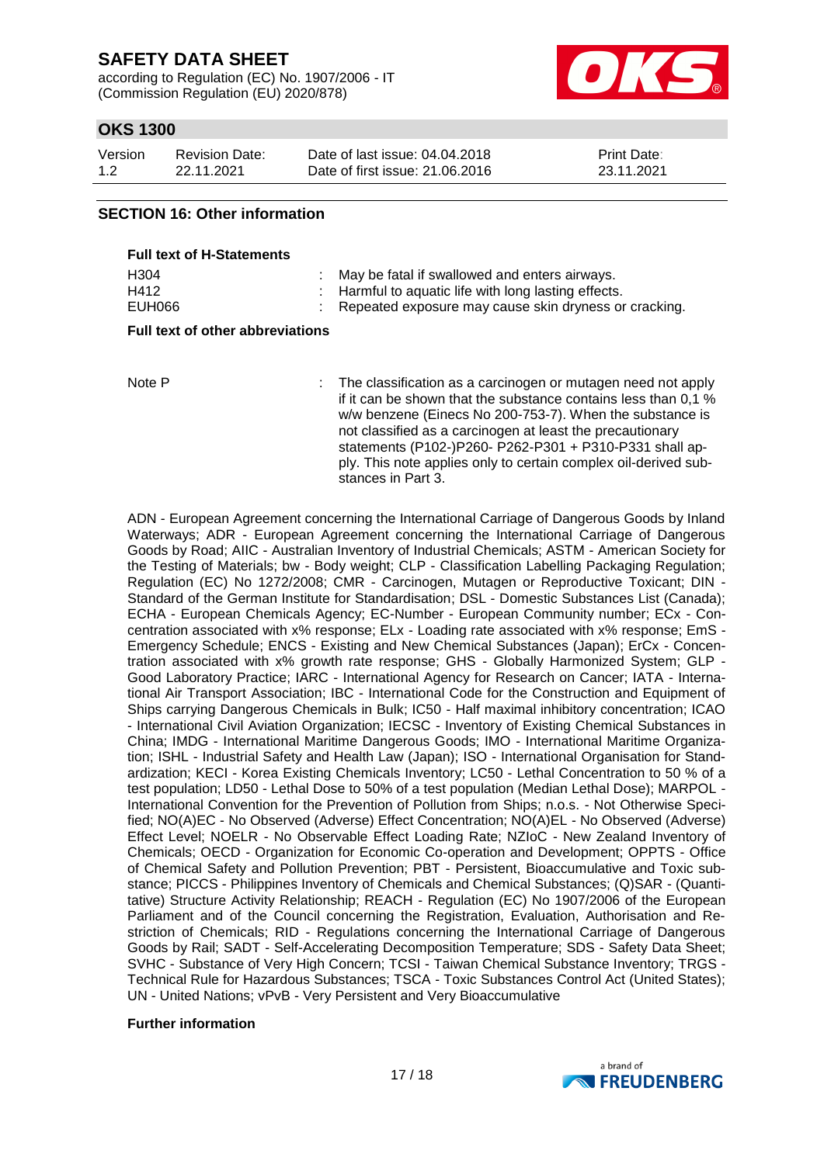according to Regulation (EC) No. 1907/2006 - IT (Commission Regulation (EU) 2020/878)



# **OKS 1300**

| Version | Revision Date: | Date of last issue: 04.04.2018  | <b>Print Date:</b> |
|---------|----------------|---------------------------------|--------------------|
| 1.2     | 22.11.2021     | Date of first issue: 21,06,2016 | 23.11.2021         |

### **SECTION 16: Other information**

| <b>Full text of H-Statements</b> |                                                         |
|----------------------------------|---------------------------------------------------------|
| H <sub>304</sub>                 | May be fatal if swallowed and enters airways.           |
| H412                             | : Harmful to aquatic life with long lasting effects.    |
| EUH066                           | : Repeated exposure may cause skin dryness or cracking. |

#### **Full text of other abbreviations**

Note P : The classification as a carcinogen or mutagen need not apply if it can be shown that the substance contains less than 0,1 % w/w benzene (Einecs No 200-753-7). When the substance is not classified as a carcinogen at least the precautionary statements (P102-)P260- P262-P301 + P310-P331 shall apply. This note applies only to certain complex oil-derived substances in Part 3.

ADN - European Agreement concerning the International Carriage of Dangerous Goods by Inland Waterways; ADR - European Agreement concerning the International Carriage of Dangerous Goods by Road; AIIC - Australian Inventory of Industrial Chemicals; ASTM - American Society for the Testing of Materials; bw - Body weight; CLP - Classification Labelling Packaging Regulation; Regulation (EC) No 1272/2008; CMR - Carcinogen, Mutagen or Reproductive Toxicant; DIN - Standard of the German Institute for Standardisation; DSL - Domestic Substances List (Canada); ECHA - European Chemicals Agency; EC-Number - European Community number; ECx - Concentration associated with x% response; ELx - Loading rate associated with x% response; EmS - Emergency Schedule; ENCS - Existing and New Chemical Substances (Japan); ErCx - Concentration associated with x% growth rate response; GHS - Globally Harmonized System; GLP - Good Laboratory Practice; IARC - International Agency for Research on Cancer; IATA - International Air Transport Association; IBC - International Code for the Construction and Equipment of Ships carrying Dangerous Chemicals in Bulk; IC50 - Half maximal inhibitory concentration; ICAO - International Civil Aviation Organization; IECSC - Inventory of Existing Chemical Substances in China; IMDG - International Maritime Dangerous Goods; IMO - International Maritime Organization; ISHL - Industrial Safety and Health Law (Japan); ISO - International Organisation for Standardization; KECI - Korea Existing Chemicals Inventory; LC50 - Lethal Concentration to 50 % of a test population; LD50 - Lethal Dose to 50% of a test population (Median Lethal Dose); MARPOL - International Convention for the Prevention of Pollution from Ships; n.o.s. - Not Otherwise Specified; NO(A)EC - No Observed (Adverse) Effect Concentration; NO(A)EL - No Observed (Adverse) Effect Level; NOELR - No Observable Effect Loading Rate; NZIoC - New Zealand Inventory of Chemicals; OECD - Organization for Economic Co-operation and Development; OPPTS - Office of Chemical Safety and Pollution Prevention; PBT - Persistent, Bioaccumulative and Toxic substance; PICCS - Philippines Inventory of Chemicals and Chemical Substances; (Q)SAR - (Quantitative) Structure Activity Relationship; REACH - Regulation (EC) No 1907/2006 of the European Parliament and of the Council concerning the Registration, Evaluation, Authorisation and Restriction of Chemicals; RID - Regulations concerning the International Carriage of Dangerous Goods by Rail; SADT - Self-Accelerating Decomposition Temperature; SDS - Safety Data Sheet; SVHC - Substance of Very High Concern; TCSI - Taiwan Chemical Substance Inventory; TRGS - Technical Rule for Hazardous Substances; TSCA - Toxic Substances Control Act (United States); UN - United Nations; vPvB - Very Persistent and Very Bioaccumulative

#### **Further information**